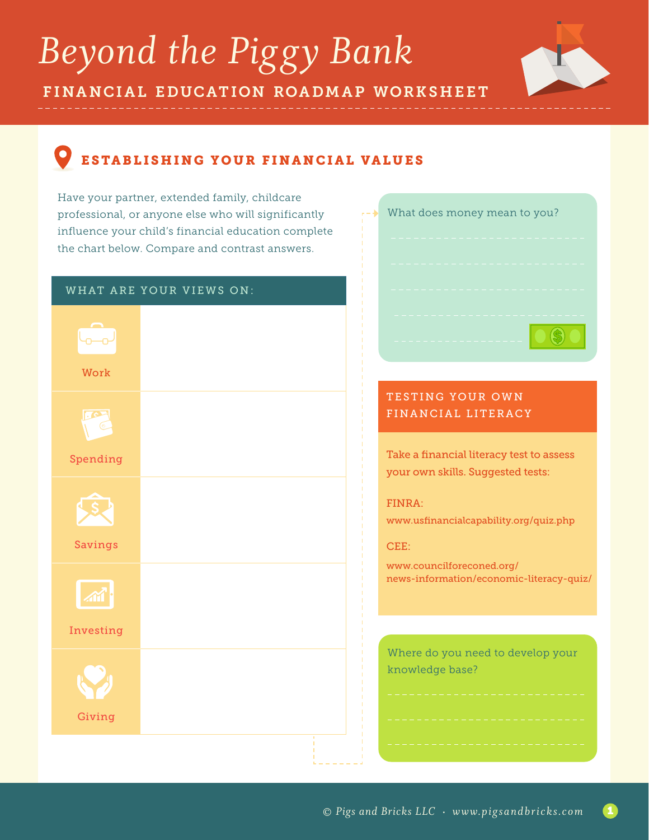## *Beyond the Piggy Bank*

FINANCIAL EDUCATION ROADMAP WORKSHEET



## ESTABLISHING YOUR FINANCIAL VALUES

Have your partner, extended family, childcare professional, or anyone else who will significantly influence your child's financial education complete the chart below. Compare and contrast answers.

|            | WHAT ARE YOUR VIEWS ON: |
|------------|-------------------------|
| Work       |                         |
|            |                         |
| $\sqrt{5}$ |                         |
| Spending   |                         |
| Savings    |                         |
| Investing  |                         |
| Giving     |                         |
|            |                         |

| What does money mean to you? |
|------------------------------|
|                              |
|                              |
|                              |

## TESTING YOUR OWN FINANCIAL LITERACY

Take a financial literacy test to assess your own skills. Suggested tests:

FINRA:

www.usfinancialcapability.org/quiz.php

CEE:

www.councilforeconed.org/ news-information/economic-literacy-quiz/

Where do you need to develop your knowledge base?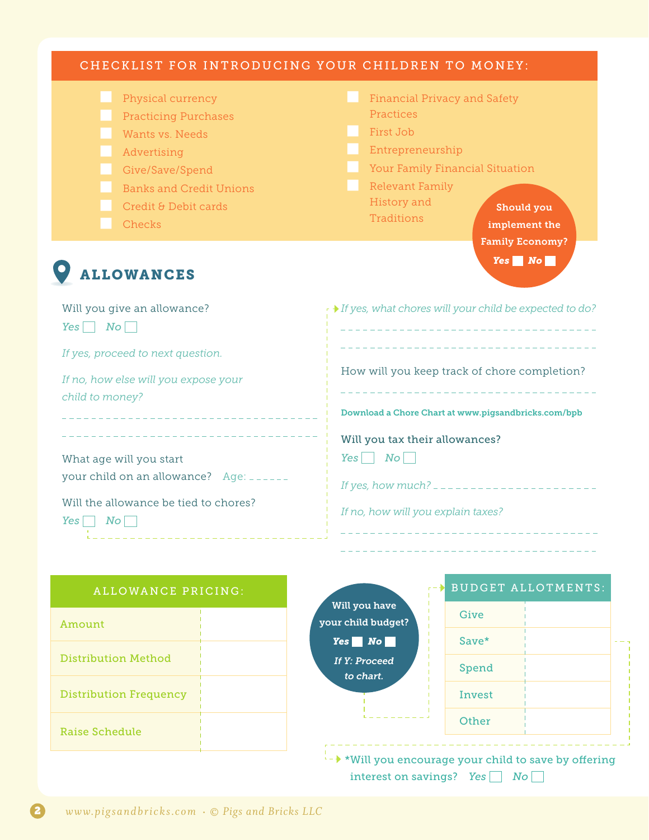| CHECKLIST FOR INTRODUCING YOUR CHILDREN TO MONEY:                                                                                                                         |                                                                                                                                                                                                                                      |  |
|---------------------------------------------------------------------------------------------------------------------------------------------------------------------------|--------------------------------------------------------------------------------------------------------------------------------------------------------------------------------------------------------------------------------------|--|
| Physical currency<br><b>Practicing Purchases</b><br>Wants vs. Needs<br>Advertising<br>Give/Save/Spend<br><b>Banks and Credit Unions</b><br>Credit & Debit cards<br>Checks | <b>Financial Privacy and Safety</b><br>Practices<br>First Job<br>Entrepreneurship<br>Your Family Financial Situation<br><b>Relevant Family</b><br>History and<br>Should you<br>Traditions<br>implement the<br><b>Family Economy?</b> |  |
| <b>ALLOWANCES</b>                                                                                                                                                         | $Yes \tN$ o                                                                                                                                                                                                                          |  |
| Will you give an allowance?<br>Yes  <br>$N_O$                                                                                                                             | r → If yes, what chores will your child be expected to do?                                                                                                                                                                           |  |
| If yes, proceed to next question.                                                                                                                                         | _____________________________                                                                                                                                                                                                        |  |
| If no, how else will you expose your<br>child to money?<br>_________________________                                                                                      | How will you keep track of chore completion?<br>Download a Chore Chart at www.pigsandbricks.com/bpb                                                                                                                                  |  |
| What age will you start<br>your child on an allowance? Age: ______<br>Will the allowance be tied to chores?<br>No<br>Yes                                                  | Will you tax their allowances?<br>$N$ o<br>Yes<br>If no, how will you explain taxes?                                                                                                                                                 |  |
| <b>ALLOWANCE PRICING:</b>                                                                                                                                                 | <b>BUDGET ALLOTMENTS:</b>                                                                                                                                                                                                            |  |
|                                                                                                                                                                           | Will you have<br>Give<br>your child budget?                                                                                                                                                                                          |  |
| Amount                                                                                                                                                                    | $Yes \blacksquare No \blacksquare$<br>Save*                                                                                                                                                                                          |  |
| <b>Distribution Method</b>                                                                                                                                                | <b>If Y: Proceed</b><br>Spend<br>to chart.                                                                                                                                                                                           |  |
| <b>Distribution Frequency</b>                                                                                                                                             | Invest                                                                                                                                                                                                                               |  |
|                                                                                                                                                                           | Other                                                                                                                                                                                                                                |  |

 $\overline{u}$   $\rightarrow$  \*Will you encourage your child to save by offering interest on savings? *Yes No*

Raise Schedule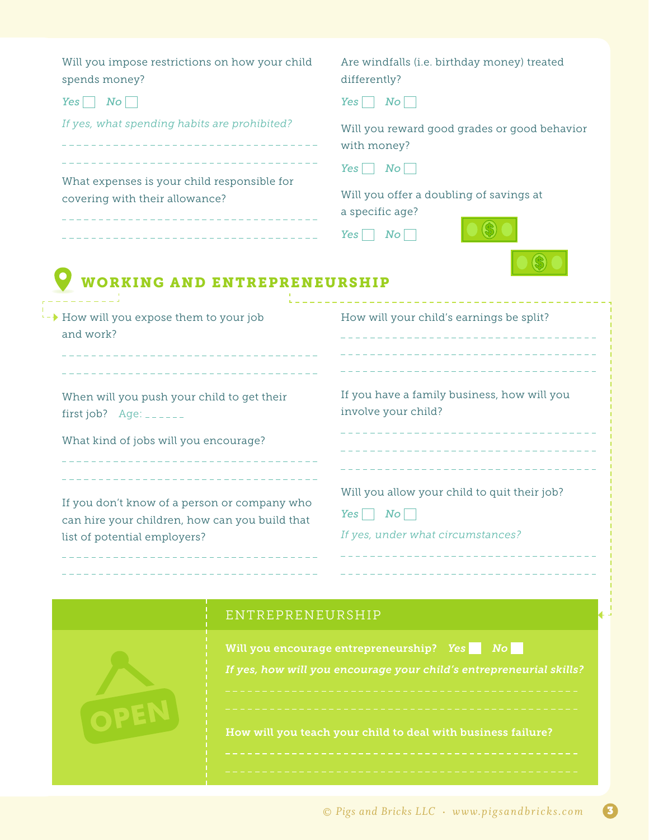| Will you impose restrictions on how your child<br>spends money?                                                                                                | Are windfalls (i.e. birthday money) treated<br>differently?                                                                     |
|----------------------------------------------------------------------------------------------------------------------------------------------------------------|---------------------------------------------------------------------------------------------------------------------------------|
| $Yes \tN$ o                                                                                                                                                    | No <br>Yes                                                                                                                      |
| If yes, what spending habits are prohibited?<br>--------------------------------                                                                               | Will you reward good grades or good behavior<br>with money?                                                                     |
| What expenses is your child responsible for                                                                                                                    | $N$ o<br>Yes                                                                                                                    |
| covering with their allowance?<br>_______________________________<br>_________________________________                                                         | Will you offer a doubling of savings at<br>a specific age?<br>$N_O$<br>Yes                                                      |
| <b>WORKING AND ENTREPRENEURSHIP</b>                                                                                                                            | --------------------                                                                                                            |
| '- → How will you expose them to your job<br>and work?<br>---------------------------                                                                          | How will your child's earnings be split?<br>________________________________                                                    |
| When will you push your child to get their<br>first job? $Age:$ $---$                                                                                          | If you have a family business, how will you<br>involve your child?                                                              |
| What kind of jobs will you encourage?                                                                                                                          | _______________________                                                                                                         |
| ____________________________<br>If you don't know of a person or company who<br>can hire your children, how can you build that<br>list of potential employers? | -----------------------------<br>Will you allow your child to quit their job?<br>No<br>Yes<br>If yes, under what circumstances? |
|                                                                                                                                                                |                                                                                                                                 |
| ENTREPRENEURSHIP                                                                                                                                               |                                                                                                                                 |
|                                                                                                                                                                | Will you encourage entrepreneurship? Yes<br>$N$ o<br>If yes, how will you encourage your child's entrepreneurial skills?        |

How will you teach your child to deal with business failure?

OPEN